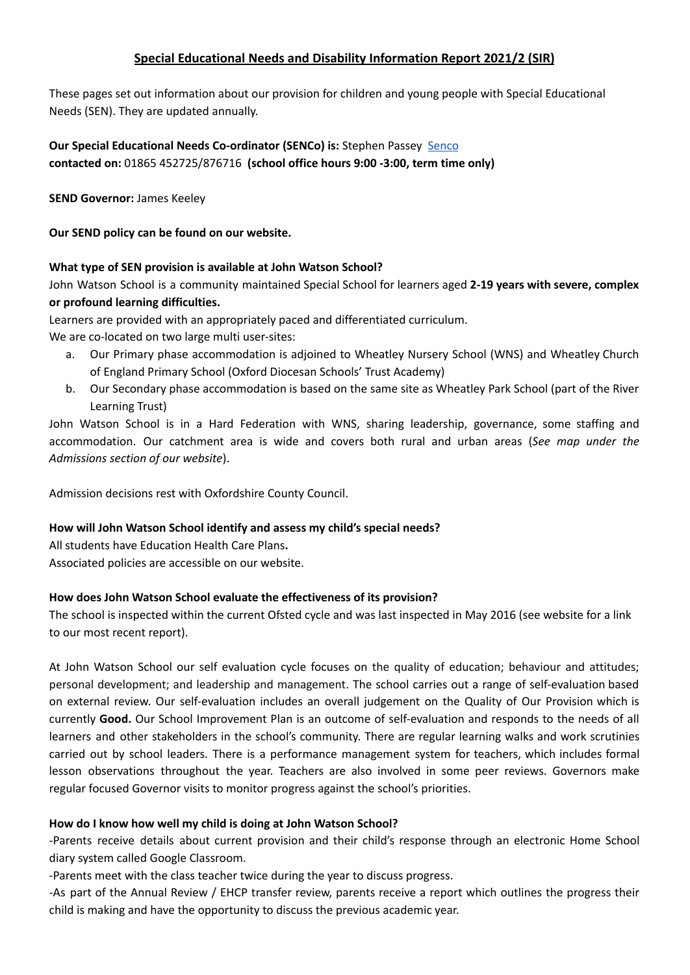# **Special Educational Needs and Disability Information Report 2021/2 (SIR)**

These pages set out information about our provision for children and young people with Special Educational Needs (SEN). They are updated annually.

# **Our Special Educational Needs Co-ordinator (SENCo) is:** Stephen Passey [Senco](https://docs.google.com/document/d/1O_RM9PG_Ph8ZHI3Z-frxizIk4mvjKvue8nknn8JFeps/edit) **contacted on:** 01865 452725/876716 **(school office hours 9:00 -3:00, term time only)**

**SEND Governor:** James Keeley

**Our SEND policy can be found on our website.**

#### **What type of SEN provision is available at John Watson School?**

John Watson School is a community maintained Special School for learners aged **2-19 years with severe, complex or profound learning difficulties.**

Learners are provided with an appropriately paced and differentiated curriculum.

We are co-located on two large multi user-sites:

- a. Our Primary phase accommodation is adjoined to Wheatley Nursery School (WNS) and Wheatley Church of England Primary School (Oxford Diocesan Schools' Trust Academy)
- b. Our Secondary phase accommodation is based on the same site as Wheatley Park School (part of the River Learning Trust)

John Watson School is in a Hard Federation with WNS, sharing leadership, governance, some staffing and accommodation. Our catchment area is wide and covers both rural and urban areas (*See map under the Admissions section of our website*).

Admission decisions rest with Oxfordshire County Council.

## **How will John Watson School identify and assess my child's special needs?**

All students have Education Health Care Plans**.** Associated policies are accessible on our website.

## **How does John Watson School evaluate the effectiveness of its provision?**

The school is inspected within the current Ofsted cycle and was last inspected in May 2016 (see website for a link to our most recent report).

At John Watson School our self evaluation cycle focuses on the quality of education; behaviour and attitudes; personal development; and leadership and management. The school carries out a range of self-evaluation based on external review. Our self-evaluation includes an overall judgement on the Quality of Our Provision which is currently **Good.** Our School Improvement Plan is an outcome of self-evaluation and responds to the needs of all learners and other stakeholders in the school's community. There are regular learning walks and work scrutinies carried out by school leaders. There is a performance management system for teachers, which includes formal lesson observations throughout the year. Teachers are also involved in some peer reviews. Governors make regular focused Governor visits to monitor progress against the school's priorities.

## **How do I know how well my child is doing at John Watson School?**

-Parents receive details about current provision and their child's response through an electronic Home School diary system called Google Classroom.

-Parents meet with the class teacher twice during the year to discuss progress.

-As part of the Annual Review / EHCP transfer review, parents receive a report which outlines the progress their child is making and have the opportunity to discuss the previous academic year.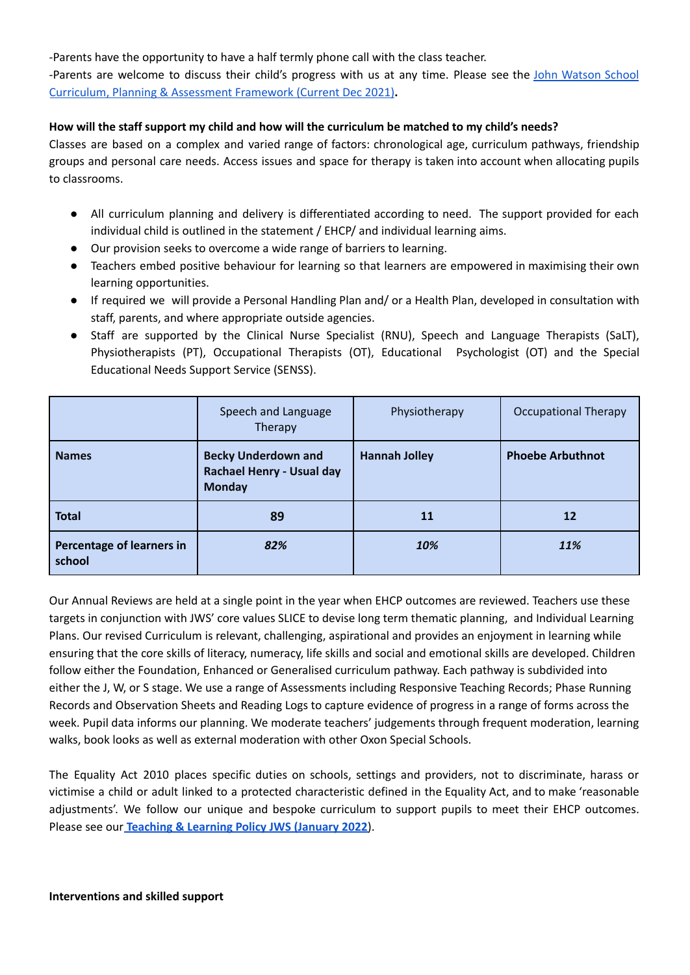-Parents have the opportunity to have a half termly phone call with the class teacher.

-Parents are welcome to discuss their child's progress with us at any time. Please see the John [Watson](https://docs.google.com/document/d/1GrIbFQXVowrrNKYe-xmdG-qVMeGvunl6eRyTNdxB_w4/edit) School Curriculum, Planning & [Assessment](https://docs.google.com/document/d/1GrIbFQXVowrrNKYe-xmdG-qVMeGvunl6eRyTNdxB_w4/edit) Framework (Current Dec 2021)**.**

#### **How will the staff support my child and how will the curriculum be matched to my child's needs?**

Classes are based on a complex and varied range of factors: chronological age, curriculum pathways, friendship groups and personal care needs. Access issues and space for therapy is taken into account when allocating pupils to classrooms.

- All curriculum planning and delivery is differentiated according to need. The support provided for each individual child is outlined in the statement / EHCP/ and individual learning aims.
- Our provision seeks to overcome a wide range of barriers to learning.
- Teachers embed positive behaviour for learning so that learners are empowered in maximising their own learning opportunities.
- If required we will provide a Personal Handling Plan and/ or a Health Plan, developed in consultation with staff, parents, and where appropriate outside agencies.
- Staff are supported by the Clinical Nurse Specialist (RNU), Speech and Language Therapists (SaLT), Physiotherapists (PT), Occupational Therapists (OT), Educational Psychologist (OT) and the Special Educational Needs Support Service (SENSS).

|                                     | Speech and Language<br>Therapy                                                  | Physiotherapy        | <b>Occupational Therapy</b> |
|-------------------------------------|---------------------------------------------------------------------------------|----------------------|-----------------------------|
| <b>Names</b>                        | <b>Becky Underdown and</b><br><b>Rachael Henry - Usual day</b><br><b>Monday</b> | <b>Hannah Jolley</b> | <b>Phoebe Arbuthnot</b>     |
| <b>Total</b>                        | 89                                                                              | 11                   | 12                          |
| Percentage of learners in<br>school | 82%                                                                             | 10%                  | <b>11%</b>                  |

Our Annual Reviews are held at a single point in the year when EHCP outcomes are reviewed. Teachers use these targets in conjunction with JWS' core values SLICE to devise long term thematic planning, and Individual Learning Plans. Our revised Curriculum is relevant, challenging, aspirational and provides an enjoyment in learning while ensuring that the core skills of literacy, numeracy, life skills and social and emotional skills are developed. Children follow either the Foundation, Enhanced or Generalised curriculum pathway. Each pathway is subdivided into either the J, W, or S stage. We use a range of Assessments including Responsive Teaching Records; Phase Running Records and Observation Sheets and Reading Logs to capture evidence of progress in a range of forms across the week. Pupil data informs our planning. We moderate teachers' judgements through frequent moderation, learning walks, book looks as well as external moderation with other Oxon Special Schools.

The Equality Act 2010 places specific duties on schools, settings and providers, not to discriminate, harass or victimise a child or adult linked to a protected characteristic defined in the Equality Act, and to make 'reasonable adjustments'. We follow our unique and bespoke curriculum to support pupils to meet their EHCP outcomes. Please see our **[Teaching](https://docs.google.com/document/d/16qyLpBHtIyoSjlcAi__uGBlH6CTihNCO/edit) & Learning Policy JWS (January 2022**).

#### **Interventions and skilled support**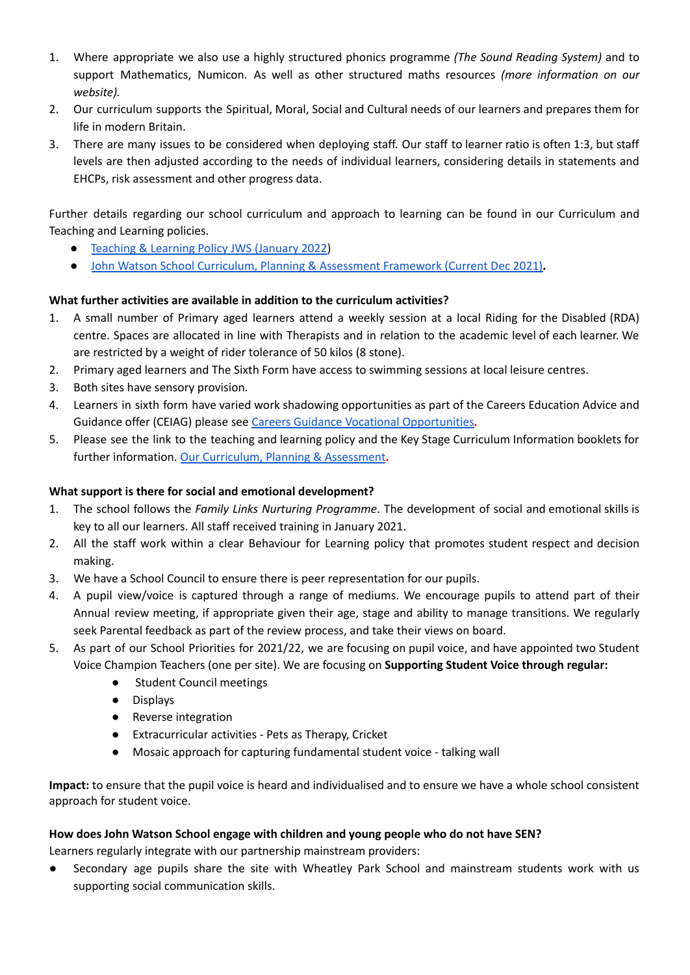- 1. Where appropriate we also use a highly structured phonics programme *(The Sound Reading System)* and to support Mathematics, Numicon. As well as other structured maths resources *(more information on our website).*
- 2. Our curriculum supports the Spiritual, Moral, Social and Cultural needs of our learners and prepares them for life in modern Britain.
- 3. There are many issues to be considered when deploying staff. Our staff to learner ratio is often 1:3, but staff levels are then adjusted according to the needs of individual learners, considering details in statements and EHCPs, risk assessment and other progress data.

Further details regarding our school curriculum and approach to learning can be found in our Curriculum and Teaching and Learning policies.

- [Teaching](https://docs.google.com/document/d/16qyLpBHtIyoSjlcAi__uGBlH6CTihNCO/edit) & Learning Policy JWS (January 2022)
- John Watson School Curriculum, Planning & [Assessment](https://docs.google.com/document/d/1GrIbFQXVowrrNKYe-xmdG-qVMeGvunl6eRyTNdxB_w4/edit) Framework (Current Dec 2021)**.**

# **What further activities are available in addition to the curriculum activities?**

- 1. A small number of Primary aged learners attend a weekly session at a local Riding for the Disabled (RDA) centre. Spaces are allocated in line with Therapists and in relation to the academic level of each learner. We are restricted by a weight of rider tolerance of 50 kilos (8 stone).
- 2. Primary aged learners and The Sixth Form have access to swimming sessions at local leisure centres.
- 3. Both sites have sensory provision.
- 4. Learners in sixth form have varied work shadowing opportunities as part of the Careers Education Advice and Guidance offer (CEIAG) please see Careers Guidance Vocational [Opportunities](http://www.johnwatsonschool.org/curriculum/careers-guidance/)*.*
- 5. Please see the link to the teaching and learning policy and the Key Stage Curriculum Information booklets for further information. Our Curriculum, Planning & [Assessment](http://www.johnwatsonschool.org/our-curriculum-planning-assesment/)**.**

## **What support is there for social and emotional development?**

- 1. The school follows the *Family Links Nurturing Programme*. The development of social and emotional skills is key to all our learners. All staff received training in January 2021.
- 2. All the staff work within a clear Behaviour for Learning policy that promotes student respect and decision making.
- 3. We have a School Council to ensure there is peer representation for our pupils.
- 4. A pupil view/voice is captured through a range of mediums. We encourage pupils to attend part of their Annual review meeting, if appropriate given their age, stage and ability to manage transitions. We regularly seek Parental feedback as part of the review process, and take their views on board.
- 5. As part of our School Priorities for 2021/22, we are focusing on pupil voice, and have appointed two Student Voice Champion Teachers (one per site). We are focusing on **Supporting Student Voice through regular:**
	- Student Council meetings
	- **●** Displays
	- **●** Reverse integration
	- **●** Extracurricular activities Pets as Therapy, Cricket
	- **●** Mosaic approach for capturing fundamental student voice talking wall

**Impact:** to ensure that the pupil voice is heard and individualised and to ensure we have a whole school consistent approach for student voice.

## **How does John Watson School engage with children and young people who do not have SEN?**

Learners regularly integrate with our partnership mainstream providers:

Secondary age pupils share the site with Wheatley Park School and mainstream students work with us supporting social communication skills.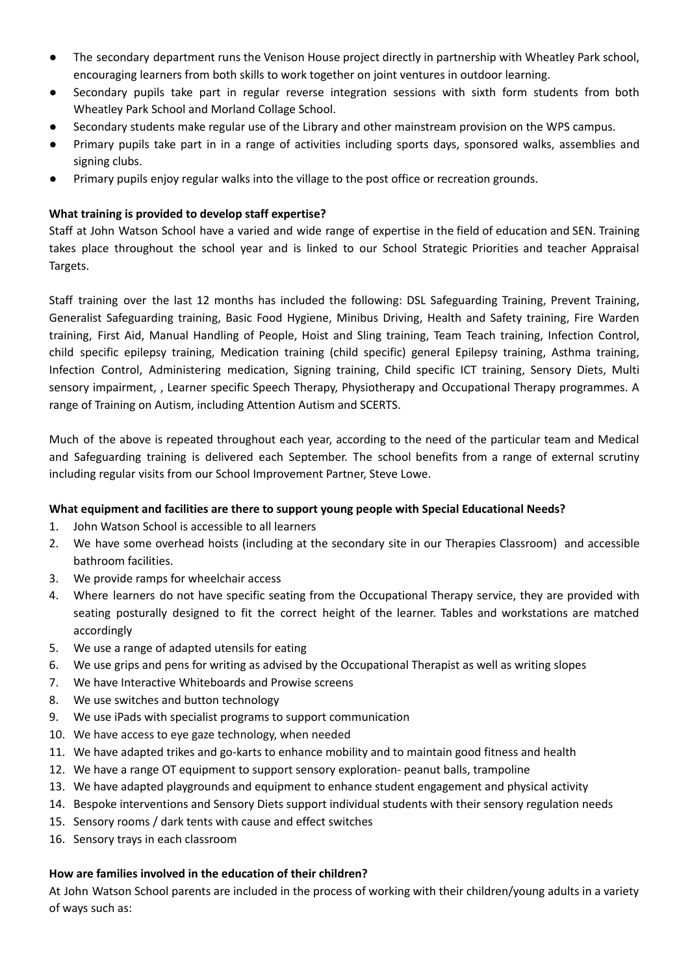- The secondary department runs the Venison House project directly in partnership with Wheatley Park school, encouraging learners from both skills to work together on joint ventures in outdoor learning.
- Secondary pupils take part in regular reverse integration sessions with sixth form students from both Wheatley Park School and Morland Collage School.
- Secondary students make regular use of the Library and other mainstream provision on the WPS campus.
- Primary pupils take part in in a range of activities including sports days, sponsored walks, assemblies and signing clubs.
- Primary pupils enjoy regular walks into the village to the post office or recreation grounds.

## **What training is provided to develop staff expertise?**

Staff at John Watson School have a varied and wide range of expertise in the field of education and SEN. Training takes place throughout the school year and is linked to our School Strategic Priorities and teacher Appraisal Targets.

Staff training over the last 12 months has included the following: DSL Safeguarding Training, Prevent Training, Generalist Safeguarding training, Basic Food Hygiene, Minibus Driving, Health and Safety training, Fire Warden training, First Aid, Manual Handling of People, Hoist and Sling training, Team Teach training, Infection Control, child specific epilepsy training, Medication training (child specific) general Epilepsy training, Asthma training, Infection Control, Administering medication, Signing training, Child specific ICT training, Sensory Diets, Multi sensory impairment, , Learner specific Speech Therapy, Physiotherapy and Occupational Therapy programmes. A range of Training on Autism, including Attention Autism and SCERTS.

Much of the above is repeated throughout each year, according to the need of the particular team and Medical and Safeguarding training is delivered each September. The school benefits from a range of external scrutiny including regular visits from our School Improvement Partner, Steve Lowe.

## **What equipment and facilities are there to support young people with Special Educational Needs?**

- 1. John Watson School is accessible to all learners
- 2. We have some overhead hoists (including at the secondary site in our Therapies Classroom) and accessible bathroom facilities.
- 3. We provide ramps for wheelchair access
- 4. Where learners do not have specific seating from the Occupational Therapy service, they are provided with seating posturally designed to fit the correct height of the learner. Tables and workstations are matched accordingly
- 5. We use a range of adapted utensils for eating
- 6. We use grips and pens for writing as advised by the Occupational Therapist as well as writing slopes
- 7. We have Interactive Whiteboards and Prowise screens
- 8. We use switches and button technology
- 9. We use iPads with specialist programs to support communication
- 10. We have access to eye gaze technology, when needed
- 11. We have adapted trikes and go-karts to enhance mobility and to maintain good fitness and health
- 12. We have a range OT equipment to support sensory exploration- peanut balls, trampoline
- 13. We have adapted playgrounds and equipment to enhance student engagement and physical activity
- 14. Bespoke interventions and Sensory Diets support individual students with their sensory regulation needs
- 15. Sensory rooms / dark tents with cause and effect switches
- 16. Sensory trays in each classroom

## **How are families involved in the education of their children?**

At John Watson School parents are included in the process of working with their children/young adults in a variety of ways such as: